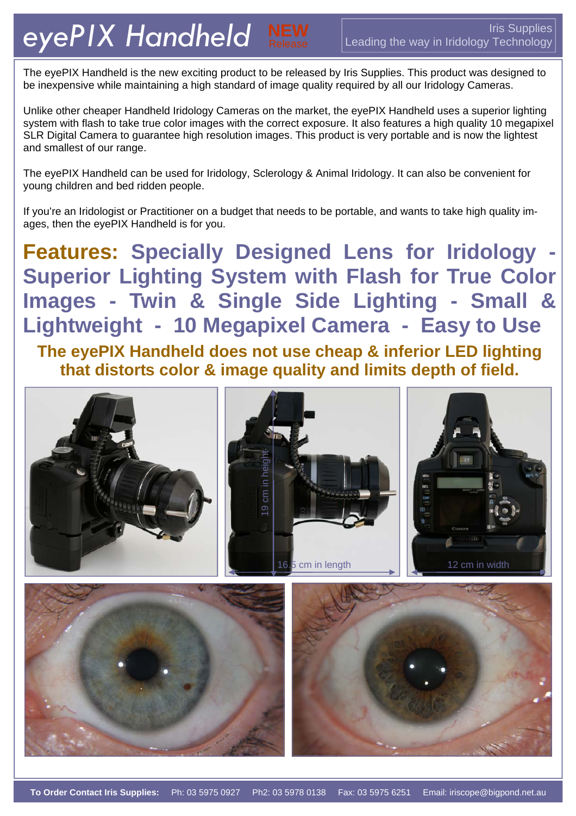The eyePIX Handheld is the new exciting product to be released by Iris Supplies. This product was designed to be inexpensive while maintaining a high standard of image quality required by all our Iridology Cameras.

Unlike other cheaper Handheld Iridology Cameras on the market, the eyePIX Handheld uses a superior lighting system with flash to take true color images with the correct exposure. It also features a high quality 10 megapixel SLR Digital Camera to guarantee high resolution images. This product is very portable and is now the lightest and smallest of our range.

The eyePIX Handheld can be used for Iridology, Sclerology & Animal Iridology. It can also be convenient for young children and bed ridden people.

If you're an Iridologist or Practitioner on a budget that needs to be portable, and wants to take high quality images, then the eyePIX Handheld is for you.

**Features: Specially Designed Lens for Iridology - Superior Lighting System with Flash for True Color Images - Twin & Single Side Lighting - Small & Lightweight - 10 Megapixel Camera - Easy to Use The eyePIX Handheld does not use cheap & inferior LED lighting** 

**that distorts color & image quality and limits depth of field.**